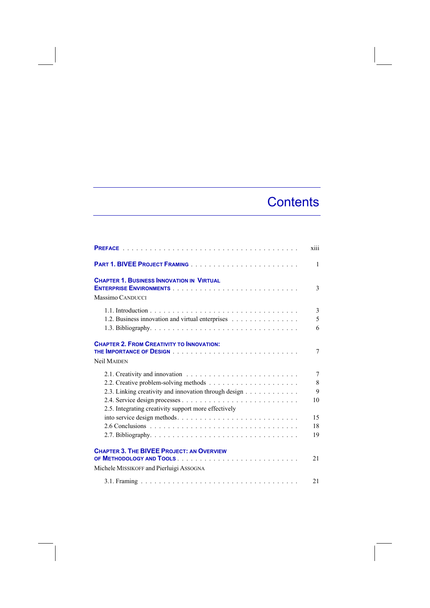# **Contents**

|                                                                                             | xiii              |
|---------------------------------------------------------------------------------------------|-------------------|
|                                                                                             | 1                 |
| <b>CHAPTER 1. BUSINESS INNOVATION IN VIRTUAL</b><br>Massimo CANDUCCI                        | 3                 |
| 1.2. Business innovation and virtual enterprises                                            | 3<br>5<br>6       |
| <b>CHAPTER 2. FROM CREATIVITY TO INNOVATION:</b><br><b>Neil MAIDEN</b>                      | 7                 |
| 2.3. Linking creativity and innovation through design                                       | 7<br>8<br>9<br>10 |
| 2.5. Integrating creativity support more effectively<br>into service design methods         | 15<br>18<br>19    |
| <b>CHAPTER 3. THE BIVEE PROJECT: AN OVERVIEW</b><br>Michele MISSIKOFF and Pierluigi ASSOGNA | 21                |
|                                                                                             | 21                |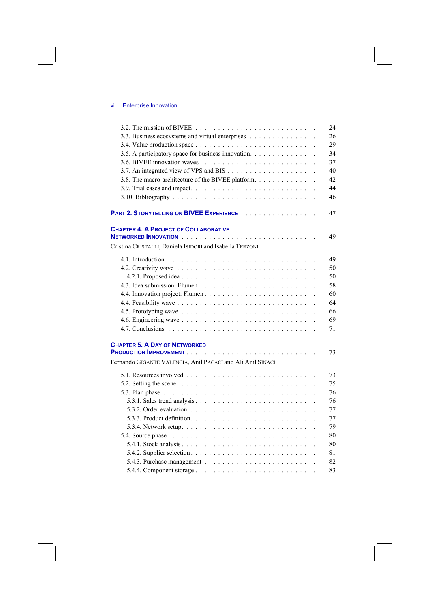## vi Enterprise Innovation

| 3.2. The mission of BIVEE $\ldots \ldots \ldots \ldots \ldots \ldots \ldots \ldots \ldots$ | 24 |
|--------------------------------------------------------------------------------------------|----|
| 3.3. Business ecosystems and virtual enterprises                                           | 26 |
|                                                                                            | 29 |
| 3.5. A participatory space for business innovation.                                        | 34 |
|                                                                                            | 37 |
|                                                                                            | 40 |
| 3.8. The macro-architecture of the BIVEE platform.                                         | 42 |
|                                                                                            | 44 |
|                                                                                            | 46 |
| PART 2. STORYTELLING ON BIVEE EXPERIENCE                                                   | 47 |
| <b>CHAPTER 4. A PROJECT OF COLLABORATIVE</b>                                               |    |
|                                                                                            | 49 |
| Cristina CRISTALLI, Daniela ISIDORI and Isabella TERZONI                                   |    |
|                                                                                            | 49 |
|                                                                                            | 50 |
|                                                                                            | 50 |
|                                                                                            | 58 |
|                                                                                            | 60 |
|                                                                                            | 64 |
|                                                                                            | 66 |
|                                                                                            | 69 |
|                                                                                            | 71 |
| <b>CHAPTER 5. A DAY OF NETWORKED</b>                                                       |    |
|                                                                                            | 73 |
| Fernando GIGANTE VALENCIA, Anil PACACI and Ali Anil SINACI                                 |    |
|                                                                                            | 73 |
|                                                                                            | 75 |
|                                                                                            | 76 |
|                                                                                            | 76 |
|                                                                                            | 77 |
|                                                                                            | 77 |
|                                                                                            | 79 |
|                                                                                            | 80 |
|                                                                                            | 80 |
|                                                                                            | 81 |
|                                                                                            | 82 |
|                                                                                            | 83 |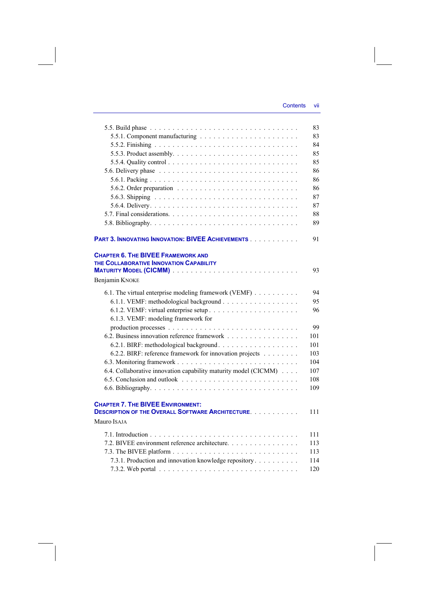|                                                                                                                     | 83  |
|---------------------------------------------------------------------------------------------------------------------|-----|
|                                                                                                                     | 83  |
|                                                                                                                     | 84  |
|                                                                                                                     | 85  |
|                                                                                                                     | 85  |
|                                                                                                                     | 86  |
|                                                                                                                     | 86  |
|                                                                                                                     | 86  |
|                                                                                                                     | 87  |
|                                                                                                                     | 87  |
|                                                                                                                     | 88  |
|                                                                                                                     | 89  |
| PART 3. INNOVATING INNOVATION: BIVEE ACHIEVEMENTS                                                                   | 91  |
| <b>CHAPTER 6. THE BIVEE FRAMEWORK AND</b><br>THE COLLABORATIVE INNOVATION CAPABILITY<br>Benjamin KNOKE              | 93  |
| 6.1. The virtual enterprise modeling framework (VEMF)                                                               | 94  |
|                                                                                                                     | 95  |
|                                                                                                                     | 96  |
| 6.1.3. VEMF: modeling framework for                                                                                 |     |
|                                                                                                                     | 99  |
| 6.2. Business innovation reference framework                                                                        | 101 |
|                                                                                                                     | 101 |
| 6.2.2. BIRF: reference framework for innovation projects                                                            | 103 |
|                                                                                                                     | 104 |
| 6.4. Collaborative innovation capability maturity model (CICMM)                                                     | 107 |
|                                                                                                                     | 108 |
|                                                                                                                     | 109 |
| <b>CHAPTER 7. THE BIVEE ENVIRONMENT:</b><br><b>DESCRIPTION OF THE OVERALL SOFTWARE ARCHITECTURE.</b><br>Mauro ISAJA | 111 |
|                                                                                                                     |     |
|                                                                                                                     | 111 |
| 7.2. BIVEE environment reference architecture.                                                                      | 113 |
|                                                                                                                     | 113 |
| 7.3.1. Production and innovation knowledge repository                                                               | 114 |
|                                                                                                                     | 120 |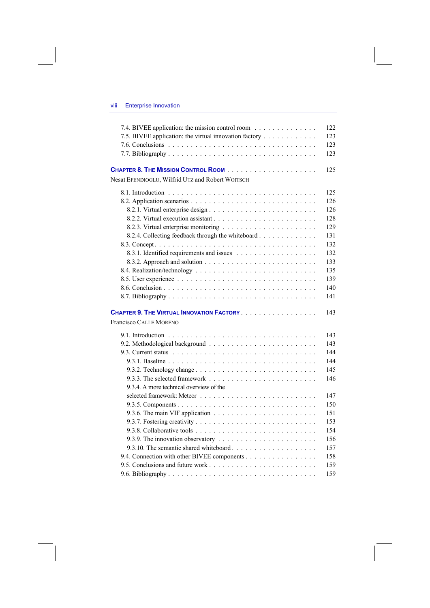## viii Enterprise Innovation

| 7.4. BIVEE application: the mission control room       | 122 |
|--------------------------------------------------------|-----|
| 7.5. BIVEE application: the virtual innovation factory | 123 |
|                                                        | 123 |
|                                                        | 123 |
|                                                        | 125 |
| Nesat EFENDIOGLU, Wilfrid UTZ and Robert WOITSCH       |     |
|                                                        | 125 |
|                                                        | 126 |
|                                                        | 126 |
|                                                        | 128 |
|                                                        | 129 |
| 8.2.4. Collecting feedback through the whiteboard      | 131 |
|                                                        | 132 |
|                                                        | 132 |
|                                                        | 133 |
|                                                        | 135 |
|                                                        | 139 |
|                                                        | 140 |
|                                                        | 141 |
| CHAPTER 9. THE VIRTUAL INNOVATION FACTORY              | 143 |
| <b>Francisco CALLE MORENO</b>                          |     |
|                                                        | 143 |
|                                                        | 143 |
|                                                        | 144 |
|                                                        | 144 |
| 9.3.2. Technology change                               | 145 |
|                                                        | 146 |
| 9.3.4. A more technical overview of the                |     |
|                                                        | 147 |
|                                                        | 150 |
|                                                        | 151 |
|                                                        | 153 |
|                                                        | 154 |
|                                                        | 156 |
|                                                        | 157 |
| 9.4. Connection with other BIVEE components            | 158 |
|                                                        | 159 |
|                                                        | 159 |
|                                                        |     |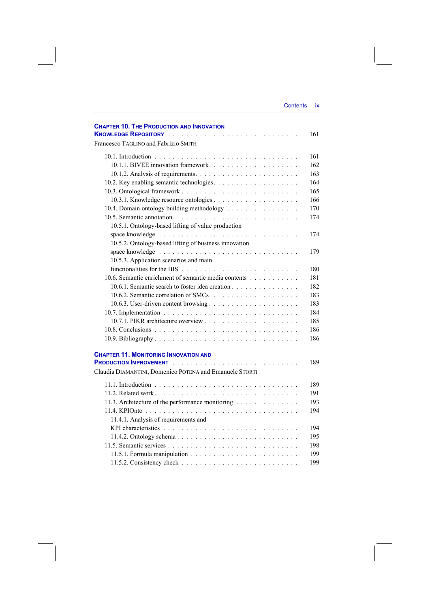| <b>Contents</b> | IX |
|-----------------|----|
|                 |    |

| <b>CHAPTER 10. THE PRODUCTION AND INNOVATION</b>        | 161 |
|---------------------------------------------------------|-----|
| Francesco TAGLINO and Fabrizio SMITH                    |     |
|                                                         | 161 |
|                                                         | 162 |
|                                                         | 163 |
|                                                         | 164 |
|                                                         | 165 |
|                                                         | 166 |
| 10.4. Domain ontology building methodology              | 170 |
|                                                         | 174 |
| 10.5.1. Ontology-based lifting of value production      |     |
|                                                         | 174 |
| 10.5.2. Ontology-based lifting of business innovation   |     |
|                                                         | 179 |
| 10.5.3. Application scenarios and main                  |     |
|                                                         | 180 |
| 10.6. Semantic enrichment of semantic media contents    | 181 |
| 10.6.1. Semantic search to foster idea creation         | 182 |
|                                                         | 183 |
|                                                         | 183 |
|                                                         | 184 |
|                                                         | 185 |
|                                                         | 186 |
|                                                         | 186 |
|                                                         |     |
| <b>CHAPTER 11. MONITORING INNOVATION AND</b>            | 189 |
| Claudia DIAMANTINI, Domenico POTENA and Emanuele STORTI |     |
|                                                         | 189 |
|                                                         | 191 |
| 11.3. Architecture of the performance monitoring        | 193 |
|                                                         | 194 |
| 11.4.1. Analysis of requirements and                    |     |
|                                                         | 194 |
|                                                         | 195 |
|                                                         | 198 |
|                                                         | 199 |
|                                                         | 199 |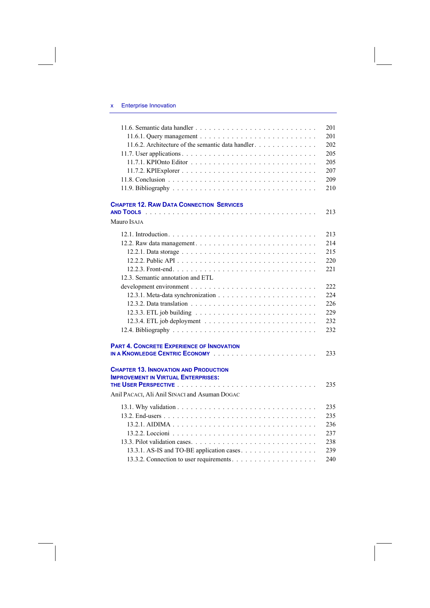## x Enterprise Innovation

|                                                    | 201  |
|----------------------------------------------------|------|
|                                                    | 201  |
| 11.6.2. Architecture of the semantic data handler. | 202  |
|                                                    | 205  |
|                                                    | 205  |
|                                                    | 207  |
|                                                    | 209  |
|                                                    | 210  |
| <b>CHAPTER 12. RAW DATA CONNECTION SERVICES</b>    |      |
|                                                    | 213  |
| Mauro ISAJA                                        |      |
|                                                    | 213  |
|                                                    | 2.14 |
|                                                    | 215  |
|                                                    | 220  |
|                                                    | 221  |
| 12.3. Semantic annotation and ETL                  |      |
|                                                    | 222  |
|                                                    | 224  |
|                                                    | 226  |
|                                                    | 229  |
|                                                    | 232  |
|                                                    | 232  |
| <b>PART 4. CONCRETE EXPERIENCE OF INNOVATION</b>   |      |
|                                                    | 233  |
| <b>CHAPTER 13. INNOVATION AND PRODUCTION</b>       |      |
| <b>IMPROVEMENT IN VIRTUAL ENTERPRISES:</b>         |      |
|                                                    | 235  |
| Anil PACACI, Ali Anil SINACI and Asuman DOGAC      |      |
|                                                    | 235  |
|                                                    | 235  |
|                                                    | 236  |
|                                                    | 237  |
|                                                    | 238  |
|                                                    | 239  |
|                                                    | 240  |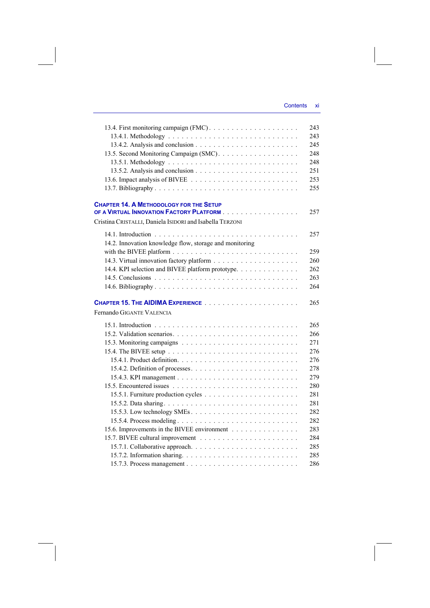### Contents xi

|                                                                                            | 243<br>243<br>245 |
|--------------------------------------------------------------------------------------------|-------------------|
| 13.5. Second Monitoring Campaign (SMC).                                                    | 248               |
|                                                                                            | 248               |
|                                                                                            | 251               |
|                                                                                            | 253               |
|                                                                                            | 255               |
|                                                                                            |                   |
| <b>CHAPTER 14. A METHODOLOGY FOR THE SETUP</b><br>OF A VIRTUAL INNOVATION FACTORY PLATFORM | 257               |
| Cristina CRISTALLI, Daniela ISIDORI and Isabella TERZONI                                   |                   |
|                                                                                            | 257               |
| 14.2. Innovation knowledge flow, storage and monitoring                                    |                   |
|                                                                                            | 259               |
|                                                                                            | 260               |
| 14.4. KPI selection and BIVEE platform prototype.                                          | 262               |
|                                                                                            | 263               |
|                                                                                            | 264               |
|                                                                                            |                   |
|                                                                                            |                   |
| Fernando GIGANTE VALENCIA                                                                  | 265               |
|                                                                                            |                   |
|                                                                                            | 265               |
|                                                                                            | 266               |
|                                                                                            | 271               |
|                                                                                            | 276               |
|                                                                                            | 276               |
| 15.4.2. Definition of processes                                                            | 278               |
|                                                                                            | 279               |
|                                                                                            | 280               |
|                                                                                            | 281               |
|                                                                                            | 281               |
|                                                                                            | 282               |
| 15.5.4. Process modeling                                                                   | 282               |
| 15.6. Improvements in the BIVEE environment                                                | 283               |
|                                                                                            | 284               |
|                                                                                            | 285               |
|                                                                                            | 285<br>286        |